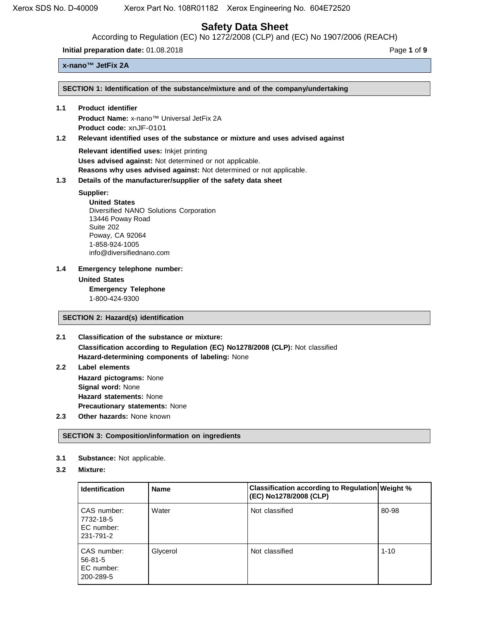According to Regulation (EC) No 1272/2008 (CLP) and (EC) No 1907/2006 (REACH)

**Initial preparation date:** 01.08.2018 **Page 1** of **9 Page 1** of **9** 

# **x-nano™ JetFix 2A**

**SECTION 1: Identification of the substance/mixture and of the company/undertaking**

# **1.1 Product identifier**

**Product Name:** x-nano™ Universal JetFix 2A **Product code:** xnJF-0101

# **1.2 Relevant identified uses of the substance or mixture and uses advised against**

**Relevant identified uses:** Inkjet printing **Uses advised against:** Not determined or not applicable. **Reasons why uses advised against:** Not determined or not applicable.

# **1.3 Details of the manufacturer/supplier of the safety data sheet**

# **Supplier:**

**United States** Diversified NANO Solutions Corporation 13446 Poway Road Suite 202 Poway, CA 92064 1-858-924-1005 info@diversifiednano.com

**1.4 Emergency telephone number: United States Emergency Telephone** 1-800-424-9300

# **SECTION 2: Hazard(s) identification**

- **2.1 Classification of the substance or mixture: Classification according to Regulation (EC) No1278/2008 (CLP):** Not classified **Hazard-determining components of labeling:** None
- **2.2 Label elements Hazard pictograms:** None **Signal word:** None **Hazard statements:** None **Precautionary statements:** None
- **2.3 Other hazards:** None known

# **SECTION 3: Composition/information on ingredients**

- **3.1 Substance:** Not applicable.
- **3.2 Mixture:**

| <b>Identification</b>                                   | <b>Name</b> | <b>Classification according to Regulation Weight %</b><br>(EC) No1278/2008 (CLP) |          |
|---------------------------------------------------------|-------------|----------------------------------------------------------------------------------|----------|
| CAS number:<br>7732-18-5<br>EC number:<br>231-791-2     | Water       | Not classified                                                                   | 80-98    |
| CAS number:<br>$56 - 81 - 5$<br>EC number:<br>200-289-5 | Glycerol    | Not classified                                                                   | $1 - 10$ |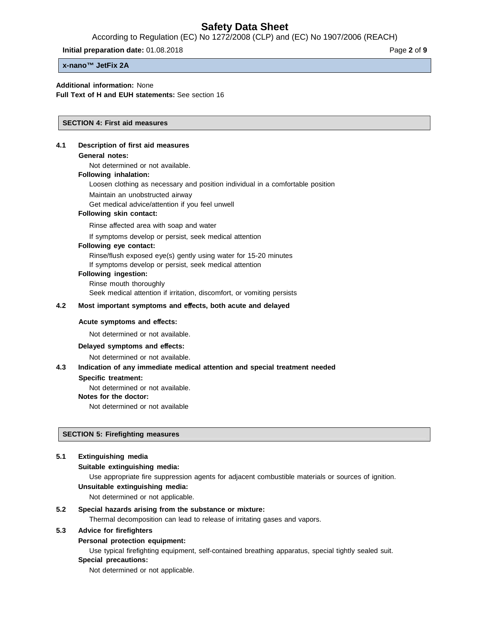According to Regulation (EC) No 1272/2008 (CLP) and (EC) No 1907/2006 (REACH)

**Initial preparation date:** 01.08.2018 **Page 2** of **9** 

**x-nano™ JetFix 2A**

#### **Additional information:** None

**Full Text of H and EUH statements:** See section 16

#### **SECTION 4: First aid measures**

#### **4.1 Description of first aid measures**

#### **General notes:**

Not determined or not available.

# **Following inhalation:**

Loosen clothing as necessary and position individual in a comfortable position

Maintain an unobstructed airway

Get medical advice/attention if you feel unwell

#### **Following skin contact:**

Rinse affected area with soap and water

If symptoms develop or persist, seek medical attention

#### **Following eye contact:**

Rinse/flush exposed eye(s) gently using water for 15-20 minutes

If symptoms develop or persist, seek medical attention

#### **Following ingestion:**

Rinse mouth thoroughly

Seek medical attention if irritation, discomfort, or vomiting persists

#### **4.2 Most important symptoms and e**ff**ects, both acute and delayed**

#### **Acute symptoms and e**ff**ects:**

Not determined or not available.

#### **Delayed symptoms and e**ff**ects:**

Not determined or not available.

#### **4.3 Indication of any immediate medical attention and special treatment needed**

#### **Specific treatment:**

Not determined or not available.

**Notes for the doctor:**

Not determined or not available

#### **SECTION 5: Firefighting measures**

#### **5.1 Extinguishing media**

#### **Suitable extinguishing media:**

Use appropriate fire suppression agents for adjacent combustible materials or sources of ignition.

# **Unsuitable extinguishing media:**

Not determined or not applicable.

#### **5.2 Special hazards arising from the substance or mixture:**

Thermal decomposition can lead to release of irritating gases and vapors.

#### **5.3 Advice for firefighters**

#### **Personal protection equipment:**

Use typical firefighting equipment, self-contained breathing apparatus, special tightly sealed suit.

# **Special precautions:**

Not determined or not applicable.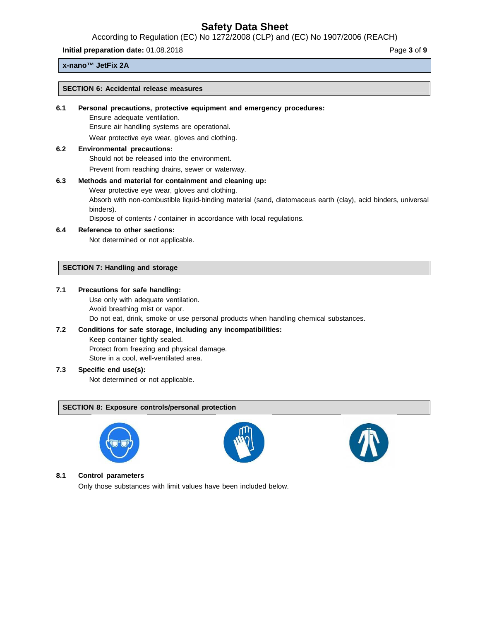According to Regulation (EC) No 1272/2008 (CLP) and (EC) No 1907/2006 (REACH)

**Initial preparation date:** 01.08.2018 **Page 3** of **9** 

#### **x-nano™ JetFix 2A**

#### **SECTION 6: Accidental release measures**

#### **6.1 Personal precautions, protective equipment and emergency procedures:**

Ensure adequate ventilation.

Ensure air handling systems are operational.

Wear protective eye wear, gloves and clothing.

# **6.2 Environmental precautions:**

Should not be released into the environment.

Prevent from reaching drains, sewer or waterway.

#### **6.3 Methods and material for containment and cleaning up:**

Wear protective eye wear, gloves and clothing.

Absorb with non-combustible liquid-binding material (sand, diatomaceus earth (clay), acid binders, universal binders).

Dispose of contents / container in accordance with local regulations.

#### **6.4 Reference to other sections:**

Not determined or not applicable.

## **SECTION 7: Handling and storage**

#### **7.1 Precautions for safe handling:**

Use only with adequate ventilation. Avoid breathing mist or vapor. Do not eat, drink, smoke or use personal products when handling chemical substances.

#### **7.2 Conditions for safe storage, including any incompatibilities:**

Keep container tightly sealed. Protect from freezing and physical damage. Store in a cool, well-ventilated area.

#### **7.3 Specific end use(s):**

Not determined or not applicable.

#### **SECTION 8: Exposure controls/personal protection**







#### **8.1 Control parameters**

Only those substances with limit values have been included below.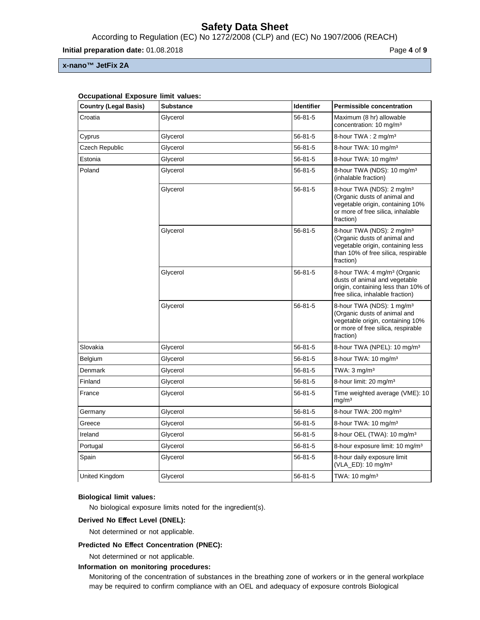According to Regulation (EC) No 1272/2008 (CLP) and (EC) No 1907/2006 (REACH)

**Initial preparation date:** 01.08.2018 **Page 4** of **9** 

**x-nano™ JetFix 2A**

| <b>Country (Legal Basis)</b> | <b>Substance</b> | <b>Identifier</b> | <b>Permissible concentration</b>                                                                                                                               |
|------------------------------|------------------|-------------------|----------------------------------------------------------------------------------------------------------------------------------------------------------------|
| Croatia                      | Glycerol         | $56 - 81 - 5$     | Maximum (8 hr) allowable<br>concentration: 10 mg/m <sup>3</sup>                                                                                                |
| Cyprus                       | Glycerol         | $56 - 81 - 5$     | 8-hour TWA: 2 mg/m <sup>3</sup>                                                                                                                                |
| Czech Republic               | Glycerol         | $56 - 81 - 5$     | 8-hour TWA: 10 mg/m <sup>3</sup>                                                                                                                               |
| Estonia                      | Glycerol         | 56-81-5           | 8-hour TWA: 10 mg/m <sup>3</sup>                                                                                                                               |
| Poland                       | Glycerol         | 56-81-5           | 8-hour TWA (NDS): 10 mg/m <sup>3</sup><br>(inhalable fraction)                                                                                                 |
|                              | Glycerol         | 56-81-5           | 8-hour TWA (NDS): 2 mg/m <sup>3</sup><br>(Organic dusts of animal and<br>vegetable origin, containing 10%<br>or more of free silica, inhalable<br>fraction)    |
|                              | Glycerol         | 56-81-5           | 8-hour TWA (NDS): 2 mg/m <sup>3</sup><br>(Organic dusts of animal and<br>vegetable origin, containing less<br>than 10% of free silica, respirable<br>fraction) |
|                              | Glycerol         | $56 - 81 - 5$     | 8-hour TWA: 4 mg/m <sup>3</sup> (Organic<br>dusts of animal and vegetable<br>origin, containing less than 10% of<br>free silica, inhalable fraction)           |
|                              | Glycerol         | $56 - 81 - 5$     | 8-hour TWA (NDS): 1 mg/m <sup>3</sup><br>(Organic dusts of animal and<br>vegetable origin, containing 10%<br>or more of free silica, respirable<br>fraction)   |
| Slovakia                     | Glycerol         | $56 - 81 - 5$     | 8-hour TWA (NPEL): 10 mg/m <sup>3</sup>                                                                                                                        |
| Belgium                      | Glycerol         | 56-81-5           | 8-hour TWA: 10 mg/m <sup>3</sup>                                                                                                                               |
| Denmark                      | Glycerol         | 56-81-5           | TWA: $3$ mg/m <sup>3</sup>                                                                                                                                     |
| Finland                      | Glycerol         | 56-81-5           | 8-hour limit: 20 mg/m <sup>3</sup>                                                                                                                             |
| France                       | Glycerol         | $56 - 81 - 5$     | Time weighted average (VME): 10<br>mg/m <sup>3</sup>                                                                                                           |
| Germany                      | Glycerol         | 56-81-5           | 8-hour TWA: 200 mg/m <sup>3</sup>                                                                                                                              |
| Greece                       | Glycerol         | $56 - 81 - 5$     | 8-hour TWA: 10 mg/m <sup>3</sup>                                                                                                                               |
| Ireland                      | Glycerol         | 56-81-5           | 8-hour OEL (TWA): 10 mg/m <sup>3</sup>                                                                                                                         |
| Portugal                     | Glycerol         | 56-81-5           | 8-hour exposure limit: 10 mg/m <sup>3</sup>                                                                                                                    |
| Spain                        | Glycerol         | $56 - 81 - 5$     | 8-hour daily exposure limit<br>(VLA_ED): 10 mg/m <sup>3</sup>                                                                                                  |
| United Kingdom               | Glycerol         | $56 - 81 - 5$     | TWA: 10 mg/m <sup>3</sup>                                                                                                                                      |

# **Occupational Exposure limit values:**

## **Biological limit values:**

No biological exposure limits noted for the ingredient(s).

#### **Derived No E**ff**ect Level (DNEL):**

Not determined or not applicable.

#### **Predicted No E**ff**ect Concentration (PNEC):**

Not determined or not applicable.

#### **Information on monitoring procedures:**

Monitoring of the concentration of substances in the breathing zone of workers or in the general workplace may be required to confirm compliance with an OEL and adequacy of exposure controls Biological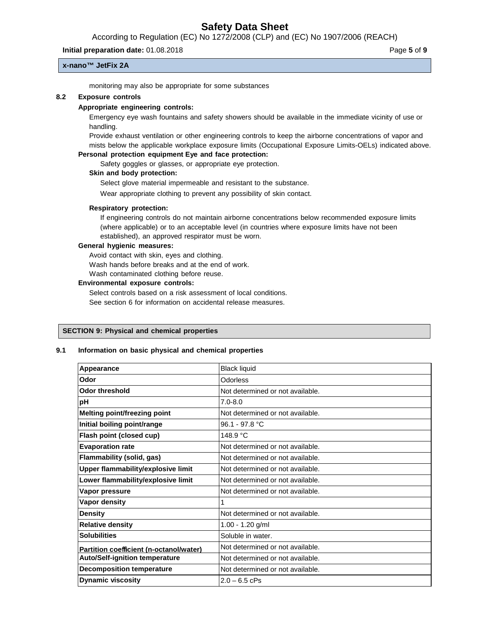According to Regulation (EC) No 1272/2008 (CLP) and (EC) No 1907/2006 (REACH)

#### **Initial preparation date:** 01.08.2018 **Page 5** of **9**

**x-nano™ JetFix 2A**

monitoring may also be appropriate for some substances

#### **8.2 Exposure controls**

#### **Appropriate engineering controls:**

Emergency eye wash fountains and safety showers should be available in the immediate vicinity of use or handling.

Provide exhaust ventilation or other engineering controls to keep the airborne concentrations of vapor and mists below the applicable workplace exposure limits (Occupational Exposure Limits-OELs) indicated above.

# **Personal protection equipment Eye and face protection:**

Safety goggles or glasses, or appropriate eye protection.

#### **Skin and body protection:**

Select glove material impermeable and resistant to the substance.

Wear appropriate clothing to prevent any possibility of skin contact.

#### **Respiratory protection:**

If engineering controls do not maintain airborne concentrations below recommended exposure limits (where applicable) or to an acceptable level (in countries where exposure limits have not been established), an approved respirator must be worn.

#### **General hygienic measures:**

Avoid contact with skin, eyes and clothing.

Wash hands before breaks and at the end of work.

Wash contaminated clothing before reuse.

#### **Environmental exposure controls:**

Select controls based on a risk assessment of local conditions.

See section 6 for information on accidental release measures.

#### **SECTION 9: Physical and chemical properties**

#### **9.1 Information on basic physical and chemical properties**

| Appearance                              | <b>Black liquid</b>              |
|-----------------------------------------|----------------------------------|
| Odor                                    | <b>Odorless</b>                  |
| <b>Odor threshold</b>                   | Not determined or not available. |
| рH                                      | $7.0 - 8.0$                      |
| <b>Melting point/freezing point</b>     | Not determined or not available. |
| Initial boiling point/range             | 96.1 - 97.8 °C                   |
| Flash point (closed cup)                | 148.9 °C                         |
| <b>Evaporation rate</b>                 | Not determined or not available. |
| Flammability (solid, gas)               | Not determined or not available. |
| Upper flammability/explosive limit      | Not determined or not available. |
| Lower flammability/explosive limit      | Not determined or not available. |
| Vapor pressure                          | Not determined or not available. |
| Vapor density                           |                                  |
| <b>Density</b>                          | Not determined or not available. |
| <b>Relative density</b>                 | $1.00 - 1.20$ g/ml               |
| <b>Solubilities</b>                     | Soluble in water.                |
| Partition coefficient (n-octanol/water) | Not determined or not available. |
| <b>Auto/Self-ignition temperature</b>   | Not determined or not available. |
| <b>Decomposition temperature</b>        | Not determined or not available. |
| <b>Dynamic viscosity</b>                | $2.0 - 6.5$ cPs                  |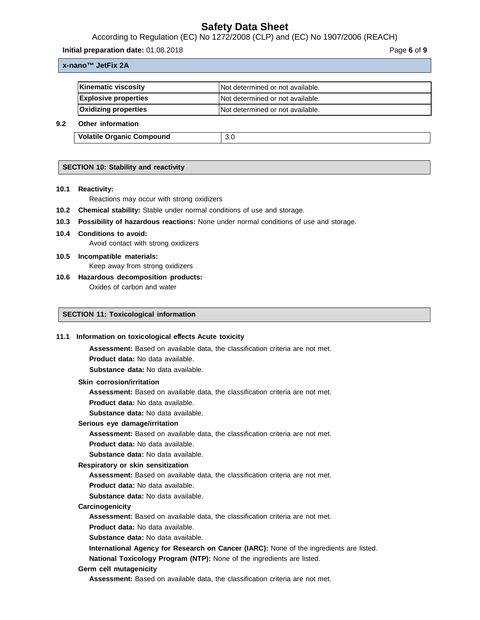According to Regulation (EC) No 1272/2008 (CLP) and (EC) No 1907/2006 (REACH)

**Initial preparation date:** 01.08.2018 **Page 6** of **9** 

#### **x-nano™ JetFix 2A**

| Kinematic viscosity         | Not determined or not available.  |
|-----------------------------|-----------------------------------|
| <b>Explosive properties</b> | INot determined or not available. |
| <b>Oxidizing properties</b> | INot determined or not available. |
| Athen information           |                                   |

# **9.2 Other information**

**Volatile Organic Compound** 3.0

# **SECTION 10: Stability and reactivity**

**10.1 Reactivity:**

Reactions may occur with strong oxidizers

- **10.2 Chemical stability:** Stable under normal conditions of use and storage.
- **10.3 Possibility of hazardous reactions:** None under normal conditions of use and storage.
- **10.4 Conditions to avoid:** Avoid contact with strong oxidizers
- **10.5 Incompatible materials:** Keep away from strong oxidizers
- **10.6 Hazardous decomposition products:** Oxides of carbon and water

## **SECTION 11: Toxicological information**

#### **11.1 Information on toxicological e**ff**ects Acute toxicity**

**Assessment:** Based on available data, the classification criteria are not met.

**Product data:** No data available.

**Substance data:** No data available.

#### **Skin corrosion/irritation**

**Assessment:** Based on available data, the classification criteria are not met.

**Product data:** No data available.

**Substance data:** No data available.

#### **Serious eye damage/irritation**

**Assessment:** Based on available data, the classification criteria are not met.

**Product data:** No data available.

**Substance data:** No data available.

#### **Respiratory or skin sensitization**

**Assessment:** Based on available data, the classification criteria are not met.

**Product data:** No data available.

**Substance data:** No data available.

#### **Carcinogenicity**

**Assessment:** Based on available data, the classification criteria are not met.

**Product data:** No data available.

**Substance data:** No data available.

**International Agency for Research on Cancer (IARC):** None of the ingredients are listed.

**National Toxicology Program (NTP):** None of the ingredients are listed.

#### **Germ cell mutagenicity**

**Assessment:** Based on available data, the classification criteria are not met.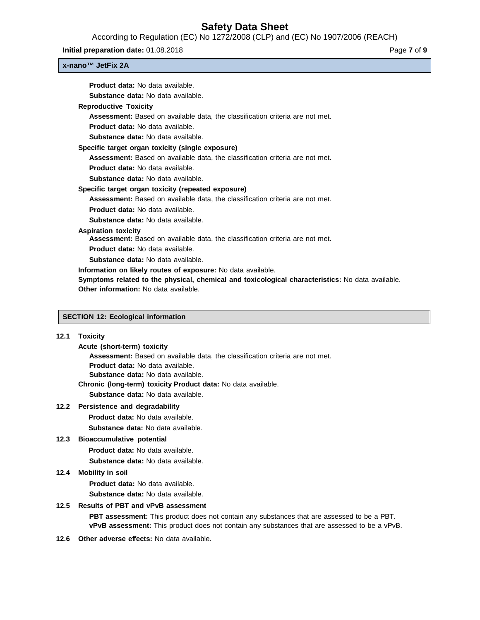According to Regulation (EC) No 1272/2008 (CLP) and (EC) No 1907/2006 (REACH)

**Initial preparation date:** 01.08.2018 **Page 7** of **9 Page 7** of **9** 

## **x-nano™ JetFix 2A**

| <b>Product data:</b> No data available.                                                          |
|--------------------------------------------------------------------------------------------------|
| Substance data: No data available.                                                               |
| <b>Reproductive Toxicity</b>                                                                     |
| <b>Assessment:</b> Based on available data, the classification criteria are not met.             |
| <b>Product data:</b> No data available.                                                          |
| <b>Substance data:</b> No data available.                                                        |
| Specific target organ toxicity (single exposure)                                                 |
| <b>Assessment:</b> Based on available data, the classification criteria are not met.             |
| <b>Product data:</b> No data available.                                                          |
| Substance data: No data available.                                                               |
| Specific target organ toxicity (repeated exposure)                                               |
| <b>Assessment:</b> Based on available data, the classification criteria are not met.             |
| <b>Product data:</b> No data available.                                                          |
| Substance data: No data available.                                                               |
| <b>Aspiration toxicity</b>                                                                       |
| <b>Assessment:</b> Based on available data, the classification criteria are not met.             |
| <b>Product data:</b> No data available.                                                          |
| <b>Substance data:</b> No data available.                                                        |
| Information on likely routes of exposure: No data available.                                     |
| Symptoms related to the physical, chemical and toxicological characteristics: No data available. |
| Other information: No data available.                                                            |
|                                                                                                  |
|                                                                                                  |

# **SECTION 12: Ecological information**

# **12.1 Toxicity**

| Acute (short-term) toxicity                                                          |
|--------------------------------------------------------------------------------------|
| <b>Assessment:</b> Based on available data, the classification criteria are not met. |
| <b>Product data:</b> No data available.                                              |
| <b>Substance data:</b> No data available.                                            |
| Chronic (Iong-term) toxicity Product data: No data available.                        |
| <b>Substance data:</b> No data available.                                            |

### **12.2 Persistence and degradability**

- **Product data:** No data available.
- **Substance data:** No data available.

# **12.3 Bioaccumulative potential**

- **Product data:** No data available.
- **Substance data:** No data available.

#### **12.4 Mobility in soil**

**Product data:** No data available.

**Substance data:** No data available.

## **12.5 Results of PBT and vPvB assessment**

**PBT assessment:** This product does not contain any substances that are assessed to be a PBT. **vPvB assessment:** This product does not contain any substances that are assessed to be a vPvB.

12.6 Other adverse effects: No data available.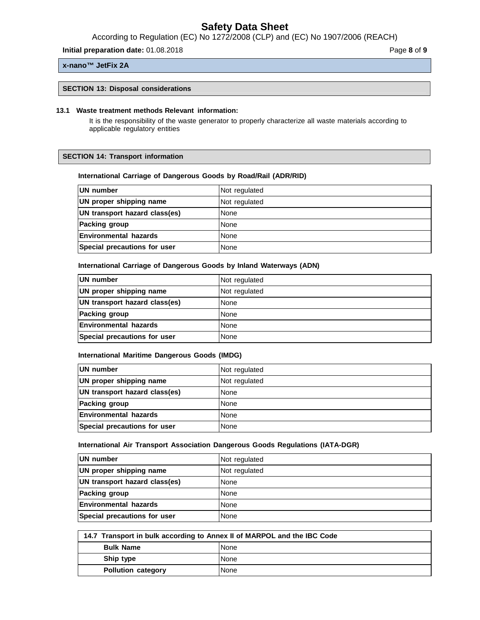According to Regulation (EC) No 1272/2008 (CLP) and (EC) No 1907/2006 (REACH)

**Initial preparation date:** 01.08.2018 **Page 8** of **9** 

#### **x-nano™ JetFix 2A**

#### **SECTION 13: Disposal considerations**

#### **13.1 Waste treatment methods Relevant information:**

It is the responsibility of the waste generator to properly characterize all waste materials according to applicable regulatory entities

#### **SECTION 14: Transport information**

## **International Carriage of Dangerous Goods by Road/Rail (ADR/RID)**

| UN number                     | Not regulated |
|-------------------------------|---------------|
| UN proper shipping name       | Not regulated |
| UN transport hazard class(es) | None          |
| <b>Packing group</b>          | None          |
| <b>Environmental hazards</b>  | None          |
| Special precautions for user  | None          |

#### **International Carriage of Dangerous Goods by Inland Waterways (ADN)**

| UN number                     | Not regulated |
|-------------------------------|---------------|
| UN proper shipping name       | Not regulated |
| UN transport hazard class(es) | None          |
| Packing group                 | None          |
| <b>Environmental hazards</b>  | None          |
| Special precautions for user  | None          |

#### **International Maritime Dangerous Goods (IMDG)**

| <b>IUN number</b>             | Not regulated |
|-------------------------------|---------------|
| UN proper shipping name       | Not regulated |
| UN transport hazard class(es) | None          |
| <b>Packing group</b>          | None          |
| <b>Environmental hazards</b>  | None          |
| Special precautions for user  | None          |

## **International Air Transport Association Dangerous Goods Regulations (IATA-DGR)**

| <b>IUN number</b>             | Not regulated |
|-------------------------------|---------------|
| UN proper shipping name       | Not regulated |
| UN transport hazard class(es) | None          |
| <b>Packing group</b>          | None          |
| <b>IEnvironmental hazards</b> | None          |
| Special precautions for user  | None          |

| 14.7 Transport in bulk according to Annex II of MARPOL and the IBC Code |             |
|-------------------------------------------------------------------------|-------------|
| <b>Bulk Name</b>                                                        | l None      |
| Ship type                                                               | <b>None</b> |
| <b>Pollution category</b>                                               | None        |